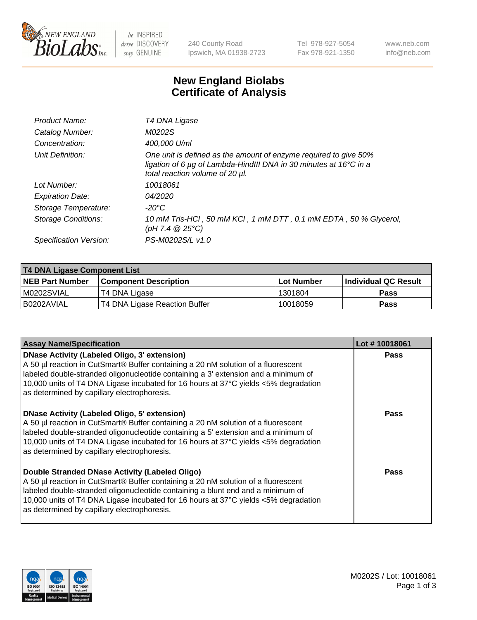

be INSPIRED drive DISCOVERY stay GENUINE

240 County Road Ipswich, MA 01938-2723 Tel 978-927-5054 Fax 978-921-1350 www.neb.com info@neb.com

## **New England Biolabs Certificate of Analysis**

| Product Name:           | T4 DNA Ligase                                                                                                                                                            |
|-------------------------|--------------------------------------------------------------------------------------------------------------------------------------------------------------------------|
| Catalog Number:         | M0202S                                                                                                                                                                   |
| Concentration:          | 400,000 U/ml                                                                                                                                                             |
| Unit Definition:        | One unit is defined as the amount of enzyme required to give 50%<br>ligation of 6 µg of Lambda-HindIII DNA in 30 minutes at 16°C in a<br>total reaction volume of 20 µl. |
| Lot Number:             | 10018061                                                                                                                                                                 |
| <b>Expiration Date:</b> | 04/2020                                                                                                                                                                  |
| Storage Temperature:    | $-20^{\circ}$ C                                                                                                                                                          |
| Storage Conditions:     | 10 mM Tris-HCl, 50 mM KCl, 1 mM DTT, 0.1 mM EDTA, 50 % Glycerol,<br>(pH 7.4 $@25°C$ )                                                                                    |
| Specification Version:  | PS-M0202S/L v1.0                                                                                                                                                         |

| T4 DNA Ligase Component List |                               |                   |                      |  |  |
|------------------------------|-------------------------------|-------------------|----------------------|--|--|
| <b>NEB Part Number</b>       | <b>Component Description</b>  | <b>Lot Number</b> | Individual QC Result |  |  |
| IM0202SVIAL                  | T4 DNA Ligase                 | 1301804           | <b>Pass</b>          |  |  |
| I B0202AVIAL                 | T4 DNA Ligase Reaction Buffer | 10018059          | <b>Pass</b>          |  |  |

| <b>Assay Name/Specification</b>                                                                                                                                                                                                                                                                                                                                      | Lot #10018061 |
|----------------------------------------------------------------------------------------------------------------------------------------------------------------------------------------------------------------------------------------------------------------------------------------------------------------------------------------------------------------------|---------------|
| <b>DNase Activity (Labeled Oligo, 3' extension)</b><br>A 50 µl reaction in CutSmart® Buffer containing a 20 nM solution of a fluorescent<br>labeled double-stranded oligonucleotide containing a 3' extension and a minimum of<br>10,000 units of T4 DNA Ligase incubated for 16 hours at 37°C yields <5% degradation<br>as determined by capillary electrophoresis. | <b>Pass</b>   |
| <b>DNase Activity (Labeled Oligo, 5' extension)</b><br>A 50 µl reaction in CutSmart® Buffer containing a 20 nM solution of a fluorescent<br>labeled double-stranded oligonucleotide containing a 5' extension and a minimum of<br>10,000 units of T4 DNA Ligase incubated for 16 hours at 37°C yields <5% degradation<br>as determined by capillary electrophoresis. | Pass          |
| Double Stranded DNase Activity (Labeled Oligo)<br>A 50 µl reaction in CutSmart® Buffer containing a 20 nM solution of a fluorescent<br>labeled double-stranded oligonucleotide containing a blunt end and a minimum of<br>10,000 units of T4 DNA Ligase incubated for 16 hours at 37°C yields <5% degradation<br>as determined by capillary electrophoresis.         | Pass          |

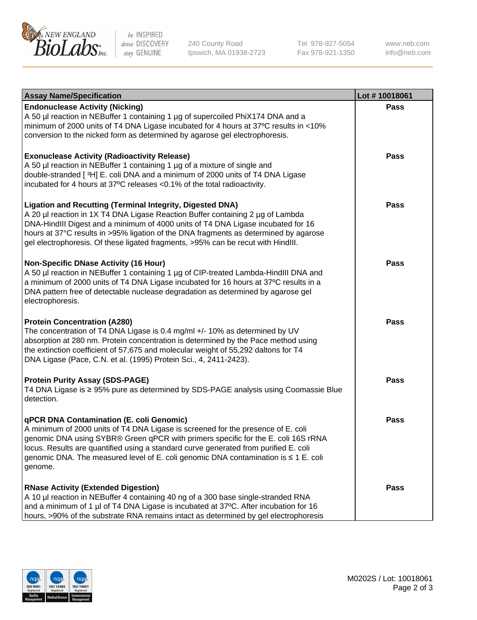

be INSPIRED drive DISCOVERY stay GENUINE

240 County Road Ipswich, MA 01938-2723 Tel 978-927-5054 Fax 978-921-1350

www.neb.com info@neb.com

| <b>Assay Name/Specification</b>                                                                                                                                                                                                                                                                                                                                                                                    | Lot #10018061 |
|--------------------------------------------------------------------------------------------------------------------------------------------------------------------------------------------------------------------------------------------------------------------------------------------------------------------------------------------------------------------------------------------------------------------|---------------|
| <b>Endonuclease Activity (Nicking)</b><br>A 50 µl reaction in NEBuffer 1 containing 1 µg of supercoiled PhiX174 DNA and a<br>minimum of 2000 units of T4 DNA Ligase incubated for 4 hours at 37°C results in <10%<br>conversion to the nicked form as determined by agarose gel electrophoresis.                                                                                                                   | <b>Pass</b>   |
| <b>Exonuclease Activity (Radioactivity Release)</b><br>A 50 µl reaction in NEBuffer 1 containing 1 µg of a mixture of single and<br>double-stranded [3H] E. coli DNA and a minimum of 2000 units of T4 DNA Ligase<br>incubated for 4 hours at 37°C releases <0.1% of the total radioactivity.                                                                                                                      | <b>Pass</b>   |
| <b>Ligation and Recutting (Terminal Integrity, Digested DNA)</b><br>A 20 µl reaction in 1X T4 DNA Ligase Reaction Buffer containing 2 µg of Lambda<br>DNA-HindIII Digest and a minimum of 4000 units of T4 DNA Ligase incubated for 16<br>hours at 37°C results in >95% ligation of the DNA fragments as determined by agarose<br>gel electrophoresis. Of these ligated fragments, >95% can be recut with HindIII. | <b>Pass</b>   |
| <b>Non-Specific DNase Activity (16 Hour)</b><br>A 50 µl reaction in NEBuffer 1 containing 1 µg of CIP-treated Lambda-HindIII DNA and<br>a minimum of 2000 units of T4 DNA Ligase incubated for 16 hours at 37°C results in a<br>DNA pattern free of detectable nuclease degradation as determined by agarose gel<br>electrophoresis.                                                                               | <b>Pass</b>   |
| <b>Protein Concentration (A280)</b><br>The concentration of T4 DNA Ligase is 0.4 mg/ml +/- 10% as determined by UV<br>absorption at 280 nm. Protein concentration is determined by the Pace method using<br>the extinction coefficient of 57,675 and molecular weight of 55,292 daltons for T4<br>DNA Ligase (Pace, C.N. et al. (1995) Protein Sci., 4, 2411-2423).                                                | <b>Pass</b>   |
| <b>Protein Purity Assay (SDS-PAGE)</b><br>T4 DNA Ligase is ≥ 95% pure as determined by SDS-PAGE analysis using Coomassie Blue<br>detection.                                                                                                                                                                                                                                                                        | <b>Pass</b>   |
| qPCR DNA Contamination (E. coli Genomic)<br>A minimum of 2000 units of T4 DNA Ligase is screened for the presence of E. coli<br>genomic DNA using SYBR® Green qPCR with primers specific for the E. coli 16S rRNA<br>locus. Results are quantified using a standard curve generated from purified E. coli<br>genomic DNA. The measured level of E. coli genomic DNA contamination is ≤ 1 E. coli<br>genome.        | Pass          |
| <b>RNase Activity (Extended Digestion)</b><br>A 10 µl reaction in NEBuffer 4 containing 40 ng of a 300 base single-stranded RNA<br>and a minimum of 1 µl of T4 DNA Ligase is incubated at 37°C. After incubation for 16<br>hours, >90% of the substrate RNA remains intact as determined by gel electrophoresis                                                                                                    | <b>Pass</b>   |